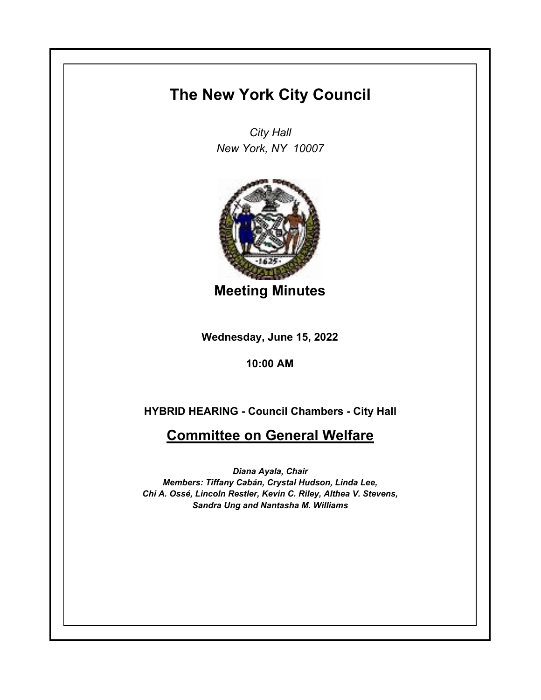## **The New York City Council**

*City Hall New York, NY 10007*



**Meeting Minutes**

**Wednesday, June 15, 2022**

**10:00 AM**

**HYBRID HEARING - Council Chambers - City Hall**

**Committee on General Welfare**

*Diana Ayala, Chair Members: Tiffany Cabán, Crystal Hudson, Linda Lee, Chi A. Ossé, Lincoln Restler, Kevin C. Riley, Althea V. Stevens, Sandra Ung and Nantasha M. Williams*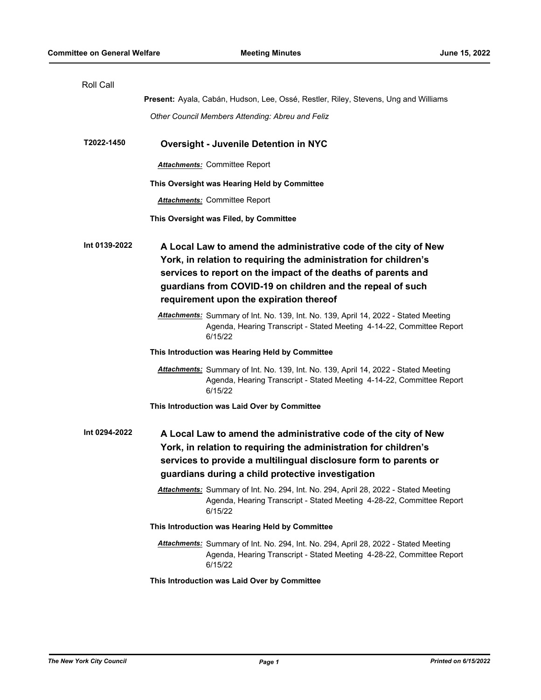| <b>Roll Call</b> |                                                                                                                                                                                                                                                                                                               |
|------------------|---------------------------------------------------------------------------------------------------------------------------------------------------------------------------------------------------------------------------------------------------------------------------------------------------------------|
|                  | Present: Ayala, Cabán, Hudson, Lee, Ossé, Restler, Riley, Stevens, Ung and Williams                                                                                                                                                                                                                           |
|                  | Other Council Members Attending: Abreu and Feliz                                                                                                                                                                                                                                                              |
| T2022-1450       | <b>Oversight - Juvenile Detention in NYC</b>                                                                                                                                                                                                                                                                  |
|                  |                                                                                                                                                                                                                                                                                                               |
|                  | <b>Attachments: Committee Report</b>                                                                                                                                                                                                                                                                          |
|                  | This Oversight was Hearing Held by Committee                                                                                                                                                                                                                                                                  |
|                  | <b>Attachments: Committee Report</b>                                                                                                                                                                                                                                                                          |
|                  | This Oversight was Filed, by Committee                                                                                                                                                                                                                                                                        |
| Int 0139-2022    | A Local Law to amend the administrative code of the city of New<br>York, in relation to requiring the administration for children's<br>services to report on the impact of the deaths of parents and<br>guardians from COVID-19 on children and the repeal of such<br>requirement upon the expiration thereof |
|                  | Attachments: Summary of Int. No. 139, Int. No. 139, April 14, 2022 - Stated Meeting<br>Agenda, Hearing Transcript - Stated Meeting 4-14-22, Committee Report<br>6/15/22                                                                                                                                       |
|                  | This Introduction was Hearing Held by Committee                                                                                                                                                                                                                                                               |
|                  | <b>Attachments:</b> Summary of Int. No. 139, Int. No. 139, April 14, 2022 - Stated Meeting<br>Agenda, Hearing Transcript - Stated Meeting 4-14-22, Committee Report<br>6/15/22                                                                                                                                |
|                  | This Introduction was Laid Over by Committee                                                                                                                                                                                                                                                                  |
| Int 0294-2022    | A Local Law to amend the administrative code of the city of New<br>York, in relation to requiring the administration for children's<br>services to provide a multilingual disclosure form to parents or<br>guardians during a child protective investigation                                                  |
|                  | Attachments: Summary of Int. No. 294, Int. No. 294, April 28, 2022 - Stated Meeting<br>Agenda, Hearing Transcript - Stated Meeting 4-28-22, Committee Report<br>6/15/22                                                                                                                                       |
|                  | This Introduction was Hearing Held by Committee                                                                                                                                                                                                                                                               |
|                  | Attachments: Summary of Int. No. 294, Int. No. 294, April 28, 2022 - Stated Meeting<br>Agenda, Hearing Transcript - Stated Meeting 4-28-22, Committee Report<br>6/15/22                                                                                                                                       |
|                  | This Introduction was Laid Over by Committee                                                                                                                                                                                                                                                                  |